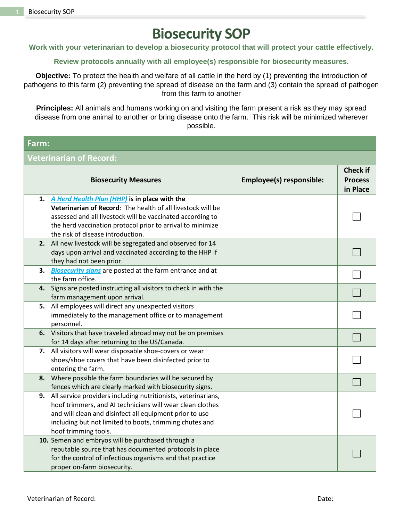## **Biosecurity SOP**

**Work with your veterinarian to develop a biosecurity protocol that will protect your cattle effectively.**

**Review protocols annually with all employee(s) responsible for biosecurity measures.**

**Objective:** To protect the health and welfare of all cattle in the herd by (1) preventing the introduction of pathogens to this farm (2) preventing the spread of disease on the farm and (3) contain the spread of pathogen from this farm to another

**Principles:** All animals and humans working on and visiting the farm present a risk as they may spread disease from one animal to another or bring disease onto the farm. This risk will be minimized wherever possible.

## **Farm:**

**Veterinarian of Record:**

|    | <b>Biosecurity Measures</b>                                     | Employee(s) responsible: | <b>Check if</b><br><b>Process</b><br>in Place |
|----|-----------------------------------------------------------------|--------------------------|-----------------------------------------------|
|    | 1. A Herd Health Plan (HHP) is in place with the                |                          |                                               |
|    | Veterinarian of Record: The health of all livestock will be     |                          |                                               |
|    | assessed and all livestock will be vaccinated according to      |                          |                                               |
|    | the herd vaccination protocol prior to arrival to minimize      |                          |                                               |
|    | the risk of disease introduction.                               |                          |                                               |
|    | 2. All new livestock will be segregated and observed for 14     |                          |                                               |
|    | days upon arrival and vaccinated according to the HHP if        |                          |                                               |
|    | they had not been prior.                                        |                          |                                               |
| 3. | <b>Biosecurity signs</b> are posted at the farm entrance and at |                          |                                               |
|    | the farm office.                                                |                          |                                               |
| 4. | Signs are posted instructing all visitors to check in with the  |                          |                                               |
|    | farm management upon arrival.                                   |                          |                                               |
| 5. | All employees will direct any unexpected visitors               |                          |                                               |
|    | immediately to the management office or to management           |                          |                                               |
|    | personnel.                                                      |                          |                                               |
|    | 6. Visitors that have traveled abroad may not be on premises    |                          |                                               |
|    | for 14 days after returning to the US/Canada.                   |                          |                                               |
|    | 7. All visitors will wear disposable shoe-covers or wear        |                          |                                               |
|    | shoes/shoe covers that have been disinfected prior to           |                          |                                               |
|    | entering the farm.                                              |                          |                                               |
|    | 8. Where possible the farm boundaries will be secured by        |                          |                                               |
|    | fences which are clearly marked with biosecurity signs.         |                          |                                               |
| 9. | All service providers including nutritionists, veterinarians,   |                          |                                               |
|    | hoof trimmers, and AI technicians will wear clean clothes       |                          |                                               |
|    | and will clean and disinfect all equipment prior to use         |                          |                                               |
|    | including but not limited to boots, trimming chutes and         |                          |                                               |
|    | hoof trimming tools.                                            |                          |                                               |
|    | 10. Semen and embryos will be purchased through a               |                          |                                               |
|    | reputable source that has documented protocols in place         |                          |                                               |
|    | for the control of infectious organisms and that practice       |                          |                                               |
|    | proper on-farm biosecurity.                                     |                          |                                               |